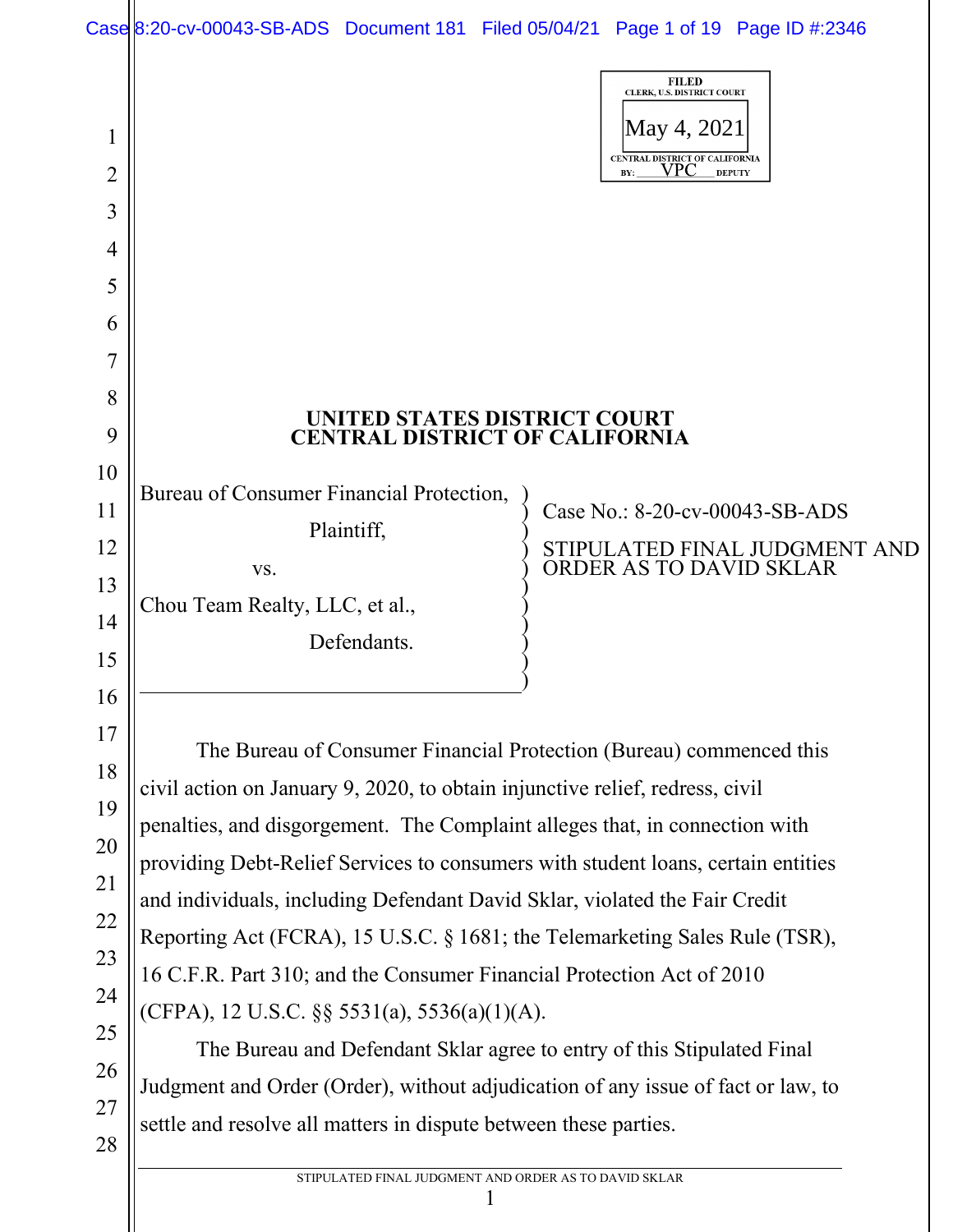| Case 8:20-cv-00043-SB-ADS Document 181 Filed 05/04/21 Page 1 of 19 Page ID #:2346 |  |  |
|-----------------------------------------------------------------------------------|--|--|

| 1<br>2   |                                                                                  | <b>FILED</b><br>CLERK, U.S. DISTRICT COURT<br>May 4, 2021<br>CENTRAL DISTRICT OF CALIFORNIA<br>VPC<br><b>DEPUTY</b><br>BY: |
|----------|----------------------------------------------------------------------------------|----------------------------------------------------------------------------------------------------------------------------|
| 3        |                                                                                  |                                                                                                                            |
| 4        |                                                                                  |                                                                                                                            |
| 5        |                                                                                  |                                                                                                                            |
| 6        |                                                                                  |                                                                                                                            |
|          |                                                                                  |                                                                                                                            |
| 8        |                                                                                  |                                                                                                                            |
| 9        | UNITED STATES DISTRICT COURT<br><b>CENTRAL DISTRICT OF CALIFORNIA</b>            |                                                                                                                            |
| 10       |                                                                                  |                                                                                                                            |
| 11       | Bureau of Consumer Financial Protection,                                         | Case No.: 8-20-cv-00043-SB-ADS                                                                                             |
| 12       | Plaintiff,                                                                       | STIPULATED FINAL JUDGMENT AND<br>ORDER AS TO DAVID SKLAR                                                                   |
| 13       | VS.<br>Chou Team Realty, LLC, et al.,                                            |                                                                                                                            |
| 14       | Defendants.                                                                      |                                                                                                                            |
| 15       |                                                                                  |                                                                                                                            |
| 16       |                                                                                  |                                                                                                                            |
| 17       | The Bureau of Consumer Financial Protection (Bureau) commenced this              |                                                                                                                            |
| 18       | civil action on January 9, 2020, to obtain injunctive relief, redress, civil     |                                                                                                                            |
| 19       | penalties, and disgorgement. The Complaint alleges that, in connection with      |                                                                                                                            |
| 20       | providing Debt-Relief Services to consumers with student loans, certain entities |                                                                                                                            |
| 21       | and individuals, including Defendant David Sklar, violated the Fair Credit       |                                                                                                                            |
| 22       | Reporting Act (FCRA), 15 U.S.C. § 1681; the Telemarketing Sales Rule (TSR),      |                                                                                                                            |
| 23       | 16 C.F.R. Part 310; and the Consumer Financial Protection Act of 2010            |                                                                                                                            |
| 24       | (CFPA), 12 U.S.C. $\S$ § 5531(a), 5536(a)(1)(A).                                 |                                                                                                                            |
| 25       | The Bureau and Defendant Sklar agree to entry of this Stipulated Final           |                                                                                                                            |
| 26<br>27 | Judgment and Order (Order), without adjudication of any issue of fact or law, to |                                                                                                                            |
| 28       | settle and resolve all matters in dispute between these parties.                 |                                                                                                                            |
|          |                                                                                  |                                                                                                                            |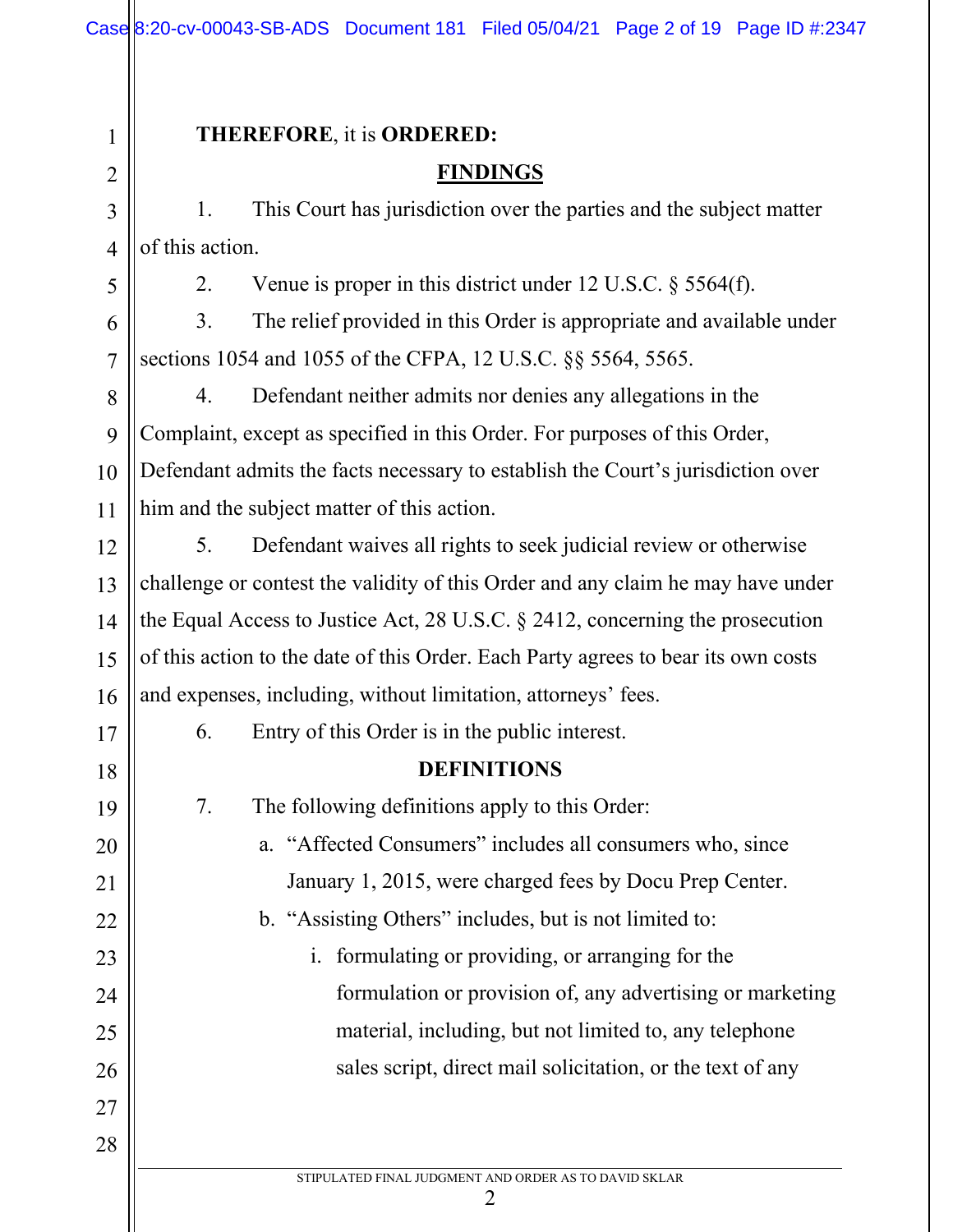STIPULATED FINAL JUDGMENT AND ORDER AS TO DAVID SKLAR 2 1 2 3 4 5 6 7 8 9 10 11 12 13 14 15 16 17 18 19 20 21 22 23 24 25 26 27 28 **THEREFORE**, it is **ORDERED: FINDINGS** 1. This Court has jurisdiction over the parties and the subject matter of this action. 2. Venue is proper in this district under 12 U.S.C. § 5564(f). 3. The relief provided in this Order is appropriate and available under sections 1054 and 1055 of the CFPA, 12 U.S.C. §§ 5564, 5565. 4. Defendant neither admits nor denies any allegations in the Complaint, except as specified in this Order. For purposes of this Order, Defendant admits the facts necessary to establish the Court's jurisdiction over him and the subject matter of this action. 5. Defendant waives all rights to seek judicial review or otherwise challenge or contest the validity of this Order and any claim he may have under the Equal Access to Justice Act, 28 U.S.C. § 2412, concerning the prosecution of this action to the date of this Order. Each Party agrees to bear its own costs and expenses, including, without limitation, attorneys' fees. 6. Entry of this Order is in the public interest. **DEFINITIONS** 7. The following definitions apply to this Order: a. "Affected Consumers" includes all consumers who, since January 1, 2015, were charged fees by Docu Prep Center. b. "Assisting Others" includes, but is not limited to: i. formulating or providing, or arranging for the formulation or provision of, any advertising or marketing material, including, but not limited to, any telephone sales script, direct mail solicitation, or the text of any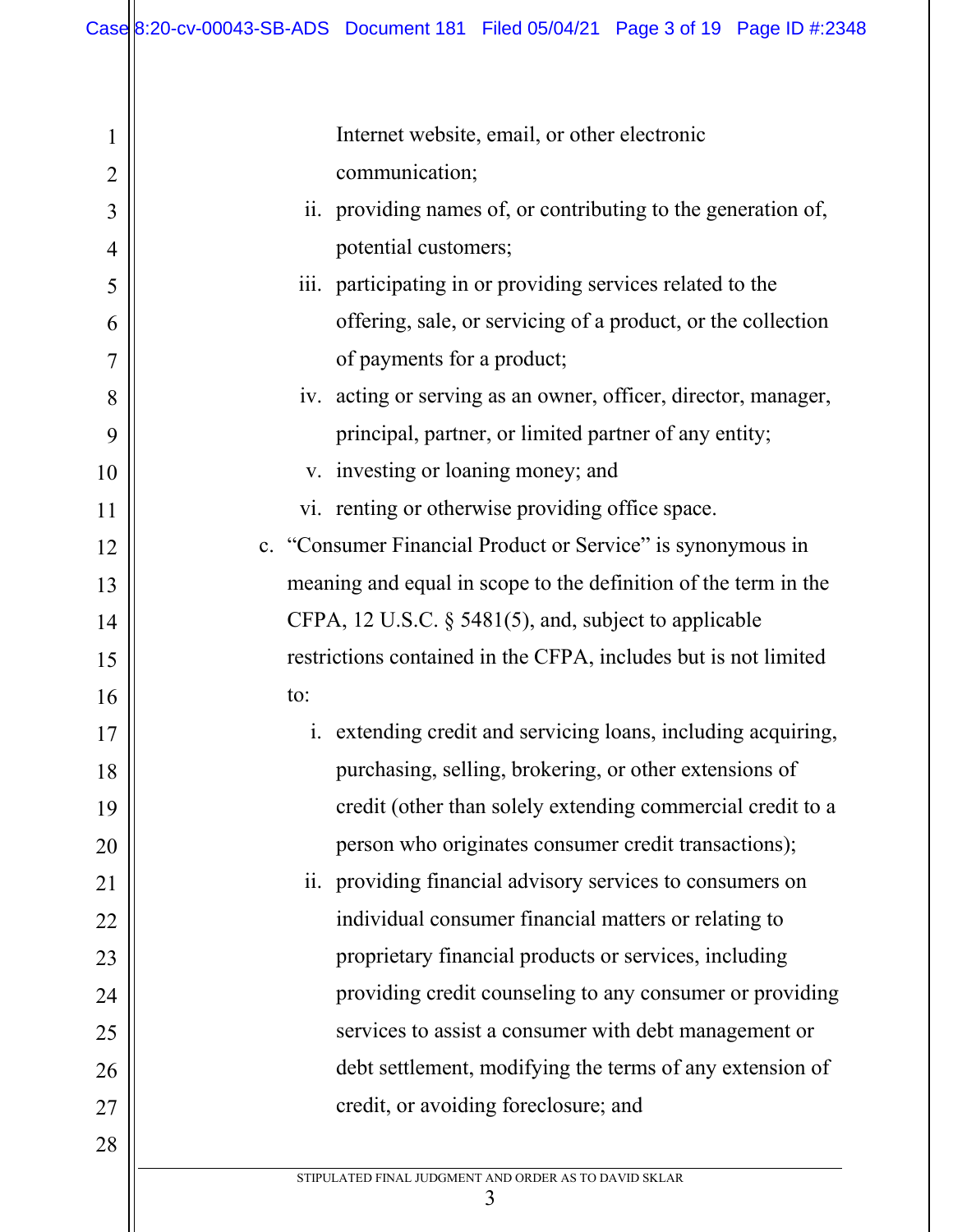1

2

3

4

5

6

7

8

9

10

11

15

17

21

23

24

25

28

12 13 14 16 18 19 20 22 26 27 Internet website, email, or other electronic communication; ii. providing names of, or contributing to the generation of, potential customers; iii. participating in or providing services related to the offering, sale, or servicing of a product, or the collection of payments for a product; iv. acting or serving as an owner, officer, director, manager, principal, partner, or limited partner of any entity; v. investing or loaning money; and vi. renting or otherwise providing office space. c. "Consumer Financial Product or Service" is synonymous in meaning and equal in scope to the definition of the term in the CFPA, 12 U.S.C. § 5481(5), and, subject to applicable restrictions contained in the CFPA, includes but is not limited to: i. extending credit and servicing loans, including acquiring, purchasing, selling, brokering, or other extensions of credit (other than solely extending commercial credit to a person who originates consumer credit transactions); ii. providing financial advisory services to consumers on individual consumer financial matters or relating to proprietary financial products or services, including providing credit counseling to any consumer or providing services to assist a consumer with debt management or debt settlement, modifying the terms of any extension of credit, or avoiding foreclosure; and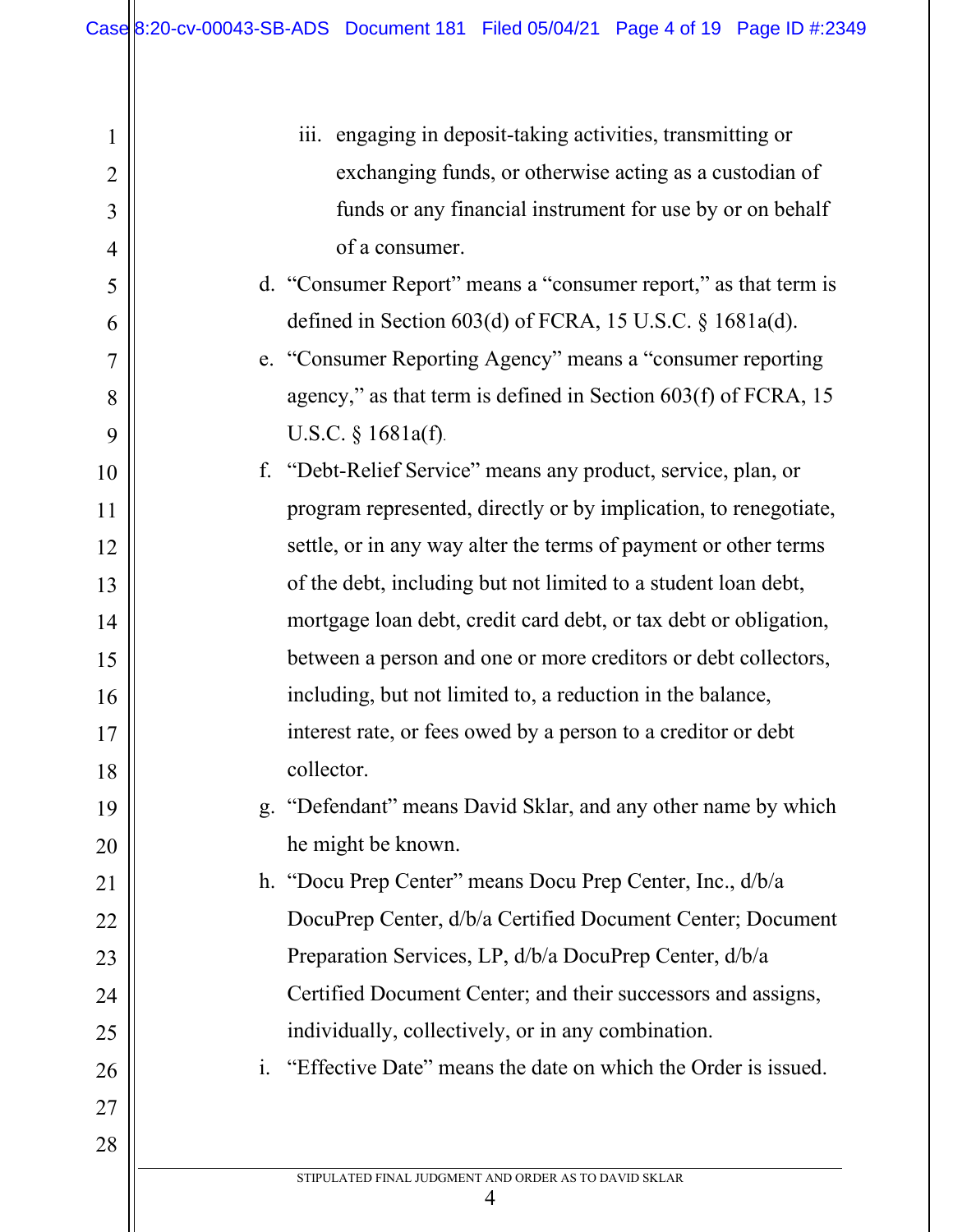| 1              | iii. engaging in deposit-taking activities, transmitting or      |
|----------------|------------------------------------------------------------------|
| $\overline{2}$ | exchanging funds, or otherwise acting as a custodian of          |
| 3              | funds or any financial instrument for use by or on behalf        |
| $\overline{4}$ | of a consumer.                                                   |
| 5              | d. "Consumer Report" means a "consumer report," as that term is  |
| 6              | defined in Section 603(d) of FCRA, 15 U.S.C. § 1681a(d).         |
| 7              | e. "Consumer Reporting Agency" means a "consumer reporting       |
| 8              | agency," as that term is defined in Section 603(f) of FCRA, 15   |
| 9              | U.S.C. $§ 1681a(f).$                                             |
| 10             | f. "Debt-Relief Service" means any product, service, plan, or    |
| 11             | program represented, directly or by implication, to renegotiate, |
| 12             | settle, or in any way alter the terms of payment or other terms  |
| 13             | of the debt, including but not limited to a student loan debt,   |
| 14             | mortgage loan debt, credit card debt, or tax debt or obligation, |
| 15             | between a person and one or more creditors or debt collectors,   |
| 16             | including, but not limited to, a reduction in the balance,       |
| 17             | interest rate, or fees owed by a person to a creditor or debt    |
| 18             | collector.                                                       |
| 19             | "Defendant" means David Sklar, and any other name by which       |
| 20             | he might be known.                                               |
| 21             | h. "Docu Prep Center" means Docu Prep Center, Inc., d/b/a        |
| 22             | DocuPrep Center, d/b/a Certified Document Center; Document       |
| 23             | Preparation Services, LP, d/b/a DocuPrep Center, d/b/a           |
| 24             | Certified Document Center; and their successors and assigns,     |
| 25             | individually, collectively, or in any combination.               |
| 26             | i. "Effective Date" means the date on which the Order is issued. |
| 27             |                                                                  |
| 28             |                                                                  |
|                | STIPULATED FINAL JUDGMENT AND ORDER AS TO DAVID SKLAR<br>4       |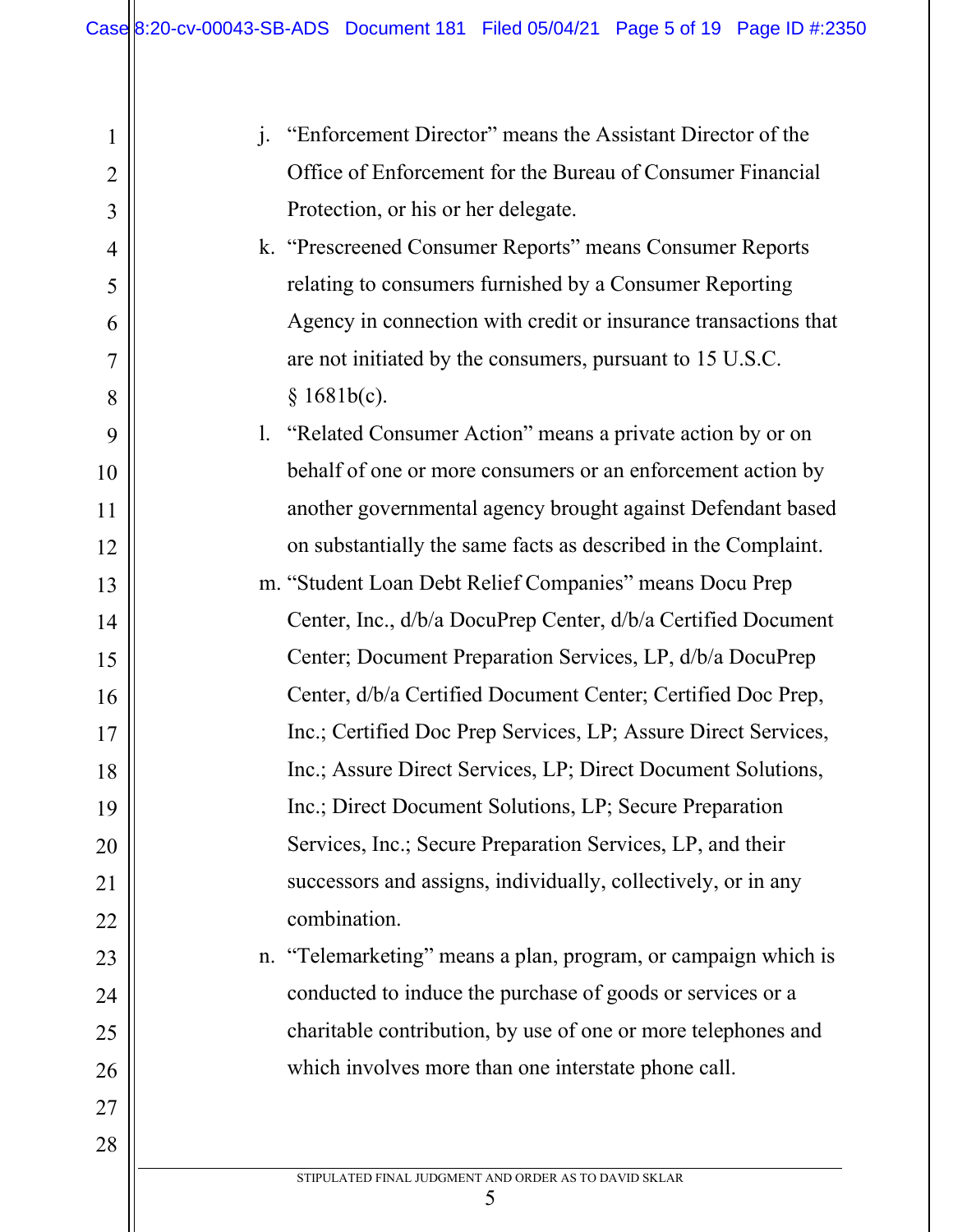| $\mathbf{1}$   | j. "Enforcement Director" means the Assistant Director of the   |
|----------------|-----------------------------------------------------------------|
| $\overline{2}$ | Office of Enforcement for the Bureau of Consumer Financial      |
| 3              | Protection, or his or her delegate.                             |
| 4              | k. "Prescreened Consumer Reports" means Consumer Reports        |
|                |                                                                 |
| 5              | relating to consumers furnished by a Consumer Reporting         |
| 6              | Agency in connection with credit or insurance transactions that |
| 7              | are not initiated by the consumers, pursuant to 15 U.S.C.       |
| 8              | § 1681b(c).                                                     |
| 9              | 1. "Related Consumer Action" means a private action by or on    |
| 10             | behalf of one or more consumers or an enforcement action by     |
| 11             | another governmental agency brought against Defendant based     |
| 12             | on substantially the same facts as described in the Complaint.  |
| 13             | m. "Student Loan Debt Relief Companies" means Docu Prep         |
| 14             | Center, Inc., d/b/a DocuPrep Center, d/b/a Certified Document   |
| 15             | Center; Document Preparation Services, LP, d/b/a DocuPrep       |
| 16             | Center, d/b/a Certified Document Center; Certified Doc Prep,    |
| 17             | Inc.; Certified Doc Prep Services, LP; Assure Direct Services,  |
| 18             | Inc.; Assure Direct Services, LP; Direct Document Solutions,    |
| 19             | Inc.; Direct Document Solutions, LP; Secure Preparation         |
| 20             | Services, Inc.; Secure Preparation Services, LP, and their      |
| 21             | successors and assigns, individually, collectively, or in any   |
| 22             | combination.                                                    |
| 23             | n. "Telemarketing" means a plan, program, or campaign which is  |
| 24             | conducted to induce the purchase of goods or services or a      |
| 25             |                                                                 |
| 26             | charitable contribution, by use of one or more telephones and   |
|                | which involves more than one interstate phone call.             |
| 27             |                                                                 |

STIPULATED FINAL JUDGMENT AND ORDER AS TO DAVID SKLAR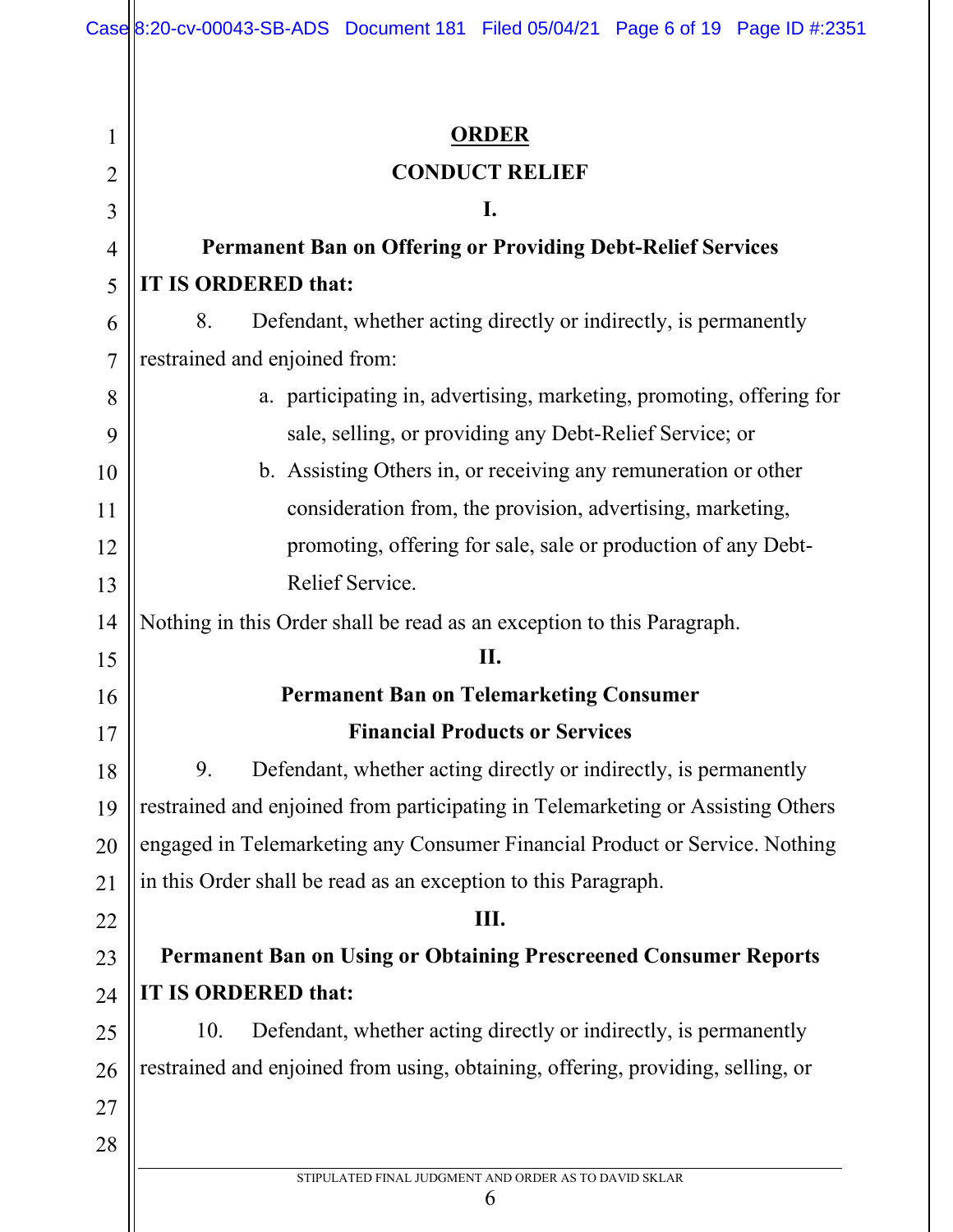| 1              | <u>ORDER</u>                                                                    |
|----------------|---------------------------------------------------------------------------------|
| $\overline{2}$ | <b>CONDUCT RELIEF</b>                                                           |
| 3              | I.                                                                              |
| $\overline{4}$ | <b>Permanent Ban on Offering or Providing Debt-Relief Services</b>              |
| 5              | IT IS ORDERED that:                                                             |
| 6              | 8.<br>Defendant, whether acting directly or indirectly, is permanently          |
| $\overline{7}$ | restrained and enjoined from:                                                   |
| 8              | a. participating in, advertising, marketing, promoting, offering for            |
| 9              | sale, selling, or providing any Debt-Relief Service; or                         |
| 10             | b. Assisting Others in, or receiving any remuneration or other                  |
| 11             | consideration from, the provision, advertising, marketing,                      |
| 12             | promoting, offering for sale, sale or production of any Debt-                   |
| 13             | Relief Service.                                                                 |
| 14             | Nothing in this Order shall be read as an exception to this Paragraph.          |
| 15             | II.                                                                             |
| 16             | <b>Permanent Ban on Telemarketing Consumer</b>                                  |
| 17             | <b>Financial Products or Services</b>                                           |
| 18             | 9.<br>Defendant, whether acting directly or indirectly, is permanently          |
| 19             | restrained and enjoined from participating in Telemarketing or Assisting Others |
| 20             | engaged in Telemarketing any Consumer Financial Product or Service. Nothing     |
| 21             | in this Order shall be read as an exception to this Paragraph.                  |
| 22             | III.                                                                            |
| 23             | <b>Permanent Ban on Using or Obtaining Prescreened Consumer Reports</b>         |
| 24             | IT IS ORDERED that:                                                             |
| 25             | Defendant, whether acting directly or indirectly, is permanently<br>10.         |
| 26             | restrained and enjoined from using, obtaining, offering, providing, selling, or |
| 27             |                                                                                 |
| 28             |                                                                                 |
|                | STIPULATED FINAL JUDGMENT AND ORDER AS TO DAVID SKLAR<br>6                      |
|                |                                                                                 |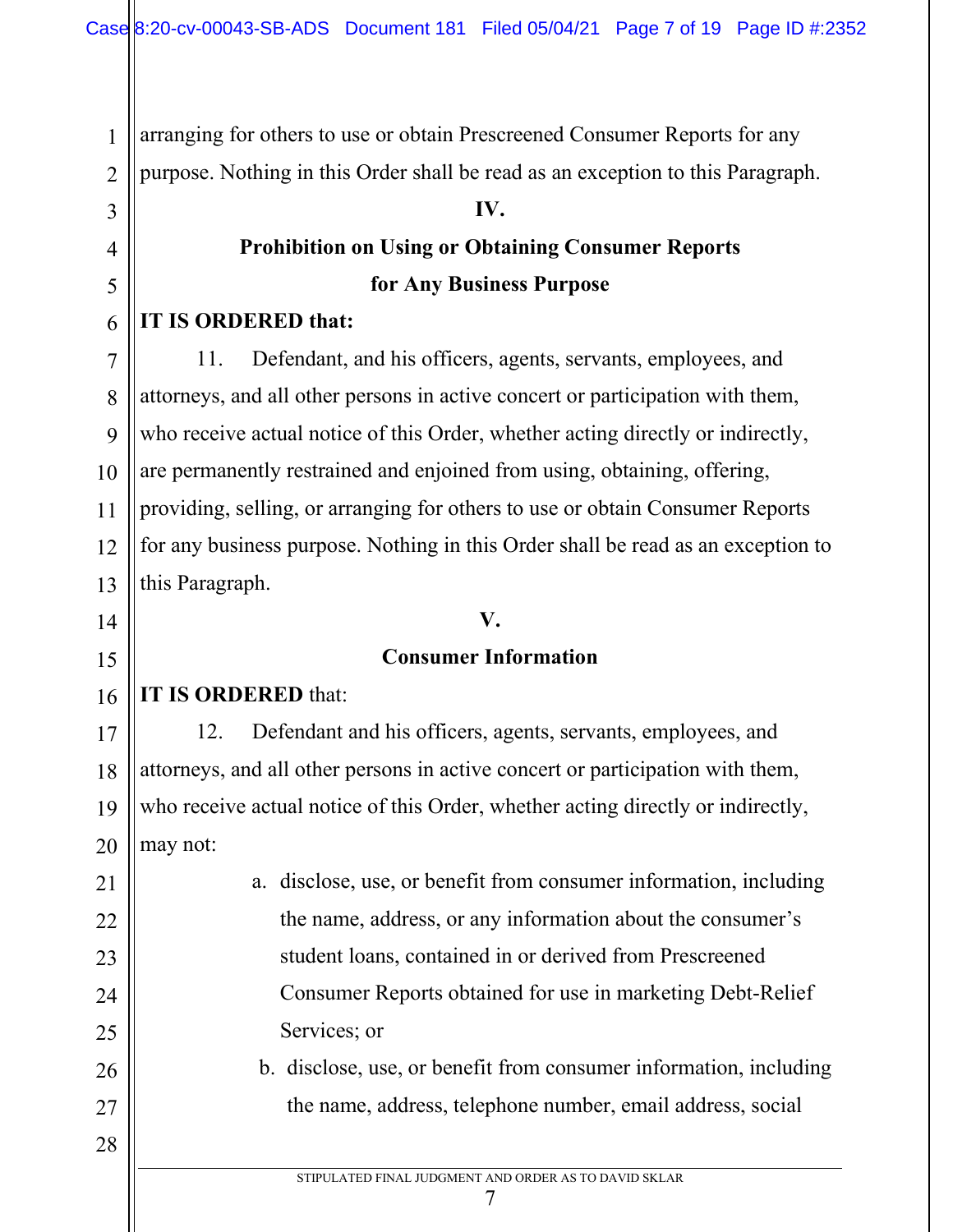arranging for others to use or obtain Prescreened Consumer Reports for any

purpose. Nothing in this Order shall be read as an exception to this Paragraph.

### **IV.**

# **Prohibition on Using or Obtaining Consumer Reports for Any Business Purpose**

# **IT IS ORDERED that:**

1

2

3

4

5

6

7

8

9

10

11

12

13

14

15

17

18

19

21

22

23

24

25

26

27

28

11. Defendant, and his officers, agents, servants, employees, and attorneys, and all other persons in active concert or participation with them, who receive actual notice of this Order, whether acting directly or indirectly, are permanently restrained and enjoined from using, obtaining, offering, providing, selling, or arranging for others to use or obtain Consumer Reports for any business purpose. Nothing in this Order shall be read as an exception to this Paragraph.

# **V.**

# **Consumer Information**

#### 16 **IT IS ORDERED** that:

20 12. Defendant and his officers, agents, servants, employees, and attorneys, and all other persons in active concert or participation with them, who receive actual notice of this Order, whether acting directly or indirectly, may not:

> a. disclose, use, or benefit from consumer information, including the name, address, or any information about the consumer's student loans, contained in or derived from Prescreened Consumer Reports obtained for use in marketing Debt-Relief Services; or

b. disclose, use, or benefit from consumer information, including the name, address, telephone number, email address, social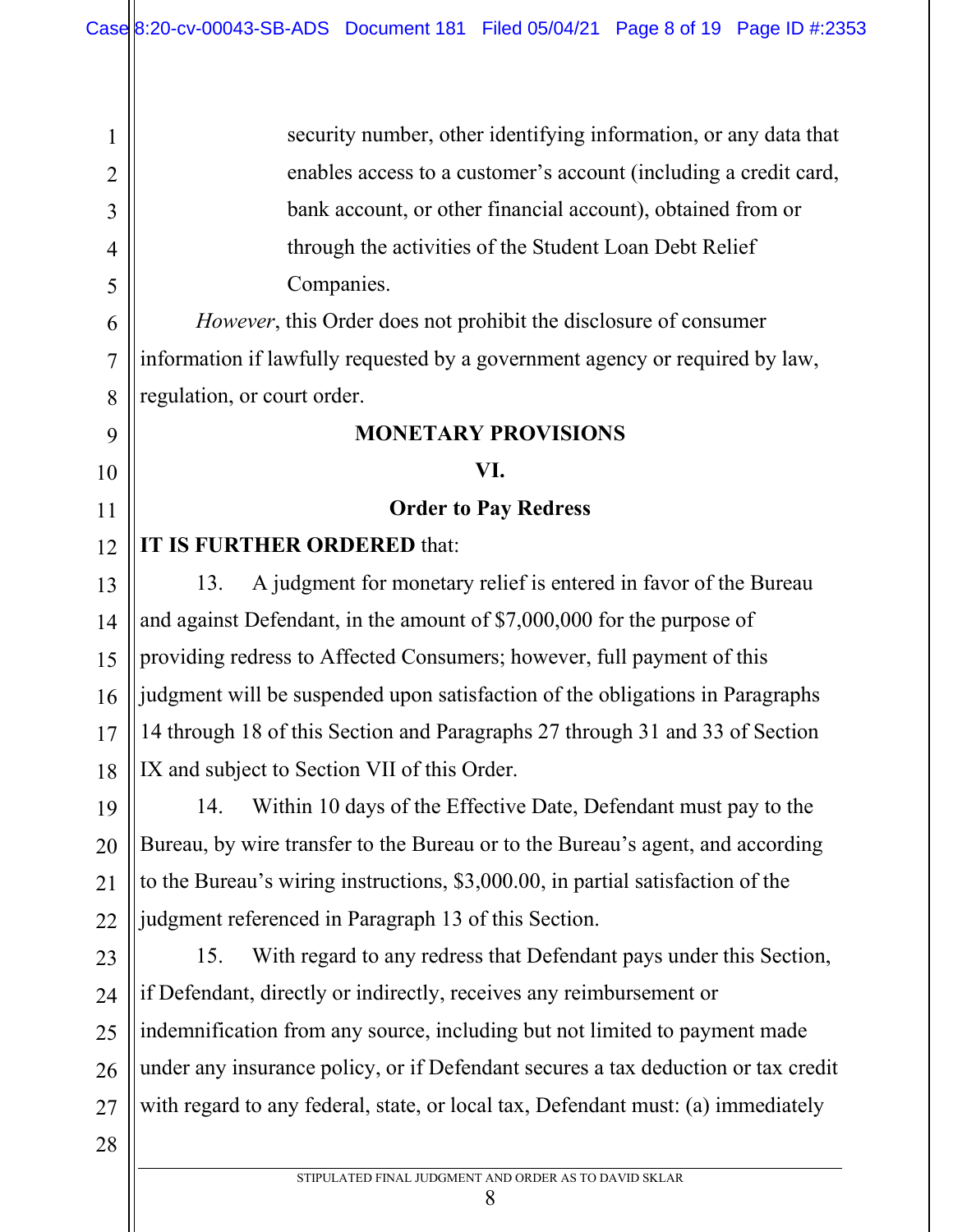security number, other identifying information, or any data that enables access to a customer's account (including a credit card, bank account, or other financial account), obtained from or through the activities of the Student Loan Debt Relief Companies.

*However*, this Order does not prohibit the disclosure of consumer information if lawfully requested by a government agency or required by law, regulation, or court order.

#### **MONETARY PROVISIONS**

#### **VI.**

#### **Order to Pay Redress**

#### 12 **IT IS FURTHER ORDERED** that:

13. A judgment for monetary relief is entered in favor of the Bureau and against Defendant, in the amount of \$7,000,000 for the purpose of providing redress to Affected Consumers; however, full payment of this judgment will be suspended upon satisfaction of the obligations in Paragraphs 14 through 18 of this Section and Paragraphs 27 through 31 and 33 of Section IX and subject to Section VII of this Order.

19 20 22 14. Within 10 days of the Effective Date, Defendant must pay to the Bureau, by wire transfer to the Bureau or to the Bureau's agent, and according to the Bureau's wiring instructions, \$3,000.00, in partial satisfaction of the judgment referenced in Paragraph 13 of this Section.

23 24 25 26 27 15. With regard to any redress that Defendant pays under this Section, if Defendant, directly or indirectly, receives any reimbursement or indemnification from any source, including but not limited to payment made under any insurance policy, or if Defendant secures a tax deduction or tax credit with regard to any federal, state, or local tax, Defendant must: (a) immediately

1

2

3

4

5

6

7

8

9

10

11

13

14

15

16

17

18

21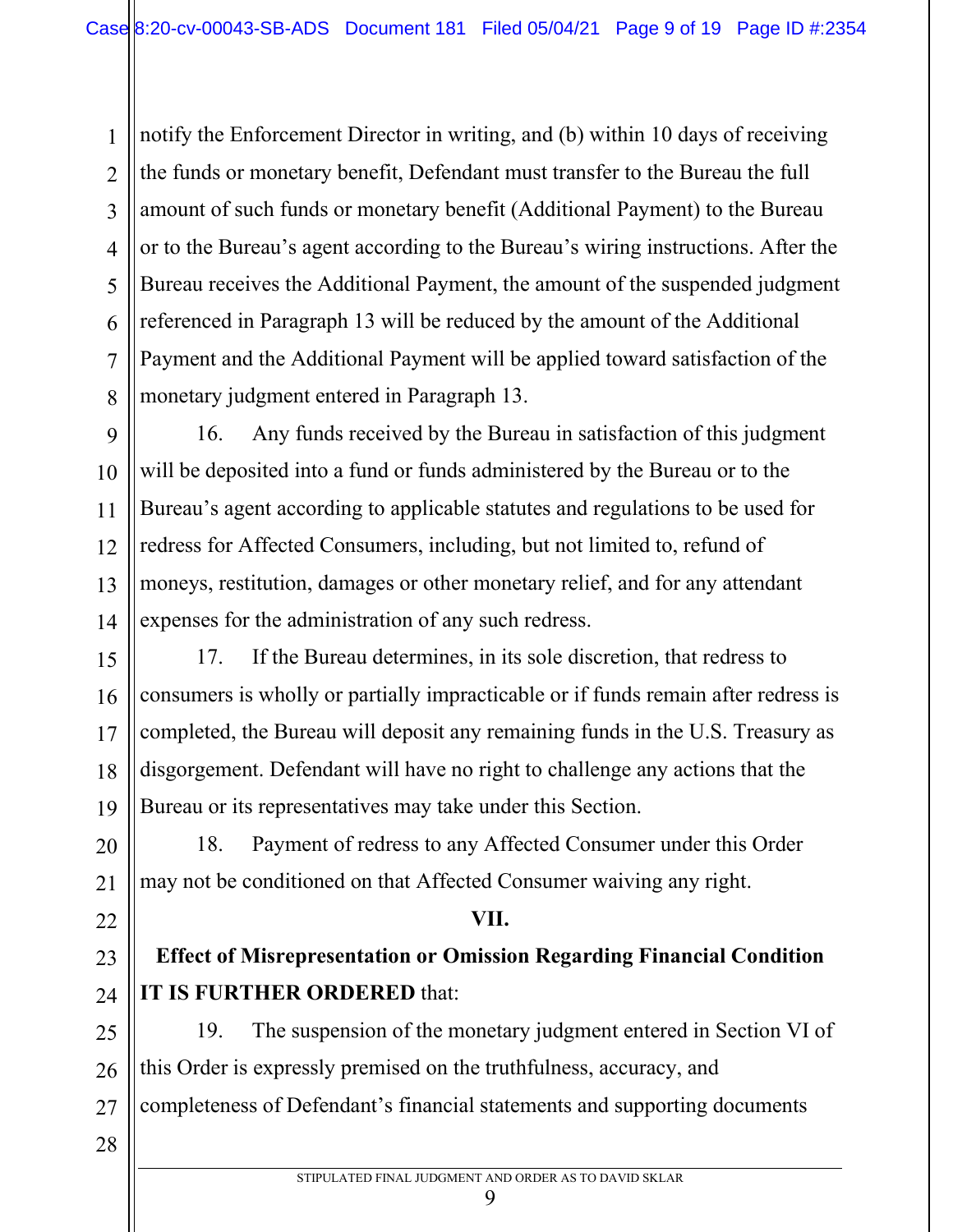2 3 4 5 6 7 8 notify the Enforcement Director in writing, and (b) within 10 days of receiving the funds or monetary benefit, Defendant must transfer to the Bureau the full amount of such funds or monetary benefit (Additional Payment) to the Bureau or to the Bureau's agent according to the Bureau's wiring instructions. After the Bureau receives the Additional Payment, the amount of the suspended judgment referenced in Paragraph 13 will be reduced by the amount of the Additional Payment and the Additional Payment will be applied toward satisfaction of the monetary judgment entered in Paragraph 13.

16. Any funds received by the Bureau in satisfaction of this judgment will be deposited into a fund or funds administered by the Bureau or to the Bureau's agent according to applicable statutes and regulations to be used for redress for Affected Consumers, including, but not limited to, refund of moneys, restitution, damages or other monetary relief, and for any attendant expenses for the administration of any such redress.

17. If the Bureau determines, in its sole discretion, that redress to consumers is wholly or partially impracticable or if funds remain after redress is completed, the Bureau will deposit any remaining funds in the U.S. Treasury as disgorgement. Defendant will have no right to challenge any actions that the Bureau or its representatives may take under this Section.

18. Payment of redress to any Affected Consumer under this Order may not be conditioned on that Affected Consumer waiving any right.

# 22

1

9

10

11

12

13

14

15

16

17

18

19

20

21

# 23 24 25

# **Effect of Misrepresentation or Omission Regarding Financial Condition IT IS FURTHER ORDERED** that:

**VII.**

26 27 19. The suspension of the monetary judgment entered in Section VI of this Order is expressly premised on the truthfulness, accuracy, and completeness of Defendant's financial statements and supporting documents

28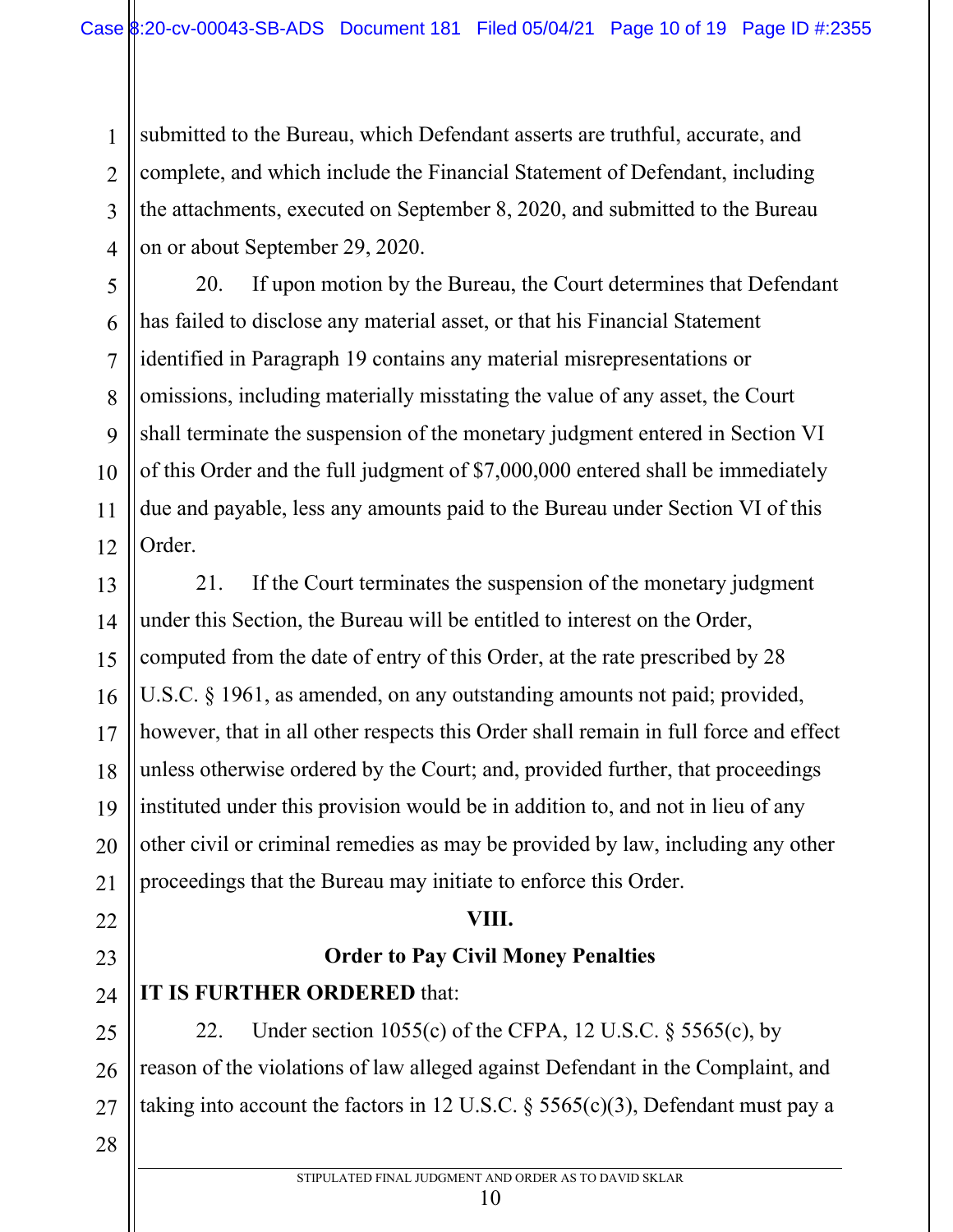submitted to the Bureau, which Defendant asserts are truthful, accurate, and complete, and which include the Financial Statement of Defendant, including the attachments, executed on September 8, 2020, and submitted to the Bureau on or about September 29, 2020.

20. If upon motion by the Bureau, the Court determines that Defendant has failed to disclose any material asset, or that his Financial Statement identified in Paragraph 19 contains any material misrepresentations or omissions, including materially misstating the value of any asset, the Court shall terminate the suspension of the monetary judgment entered in Section VI of this Order and the full judgment of \$7,000,000 entered shall be immediately due and payable, less any amounts paid to the Bureau under Section VI of this Order.

13 14 15 16 17 18 19 20 21 21. If the Court terminates the suspension of the monetary judgment under this Section, the Bureau will be entitled to interest on the Order, computed from the date of entry of this Order, at the rate prescribed by 28 U.S.C. § 1961, as amended, on any outstanding amounts not paid; provided, however, that in all other respects this Order shall remain in full force and effect unless otherwise ordered by the Court; and, provided further, that proceedings instituted under this provision would be in addition to, and not in lieu of any other civil or criminal remedies as may be provided by law, including any other proceedings that the Bureau may initiate to enforce this Order.

# **VIII.**

# **Order to Pay Civil Money Penalties**

**IT IS FURTHER ORDERED** that:

22. Under section 1055(c) of the CFPA, 12 U.S.C.  $\S$  5565(c), by reason of the violations of law alleged against Defendant in the Complaint, and taking into account the factors in 12 U.S.C.  $\S$  5565(c)(3), Defendant must pay a

28

22

23

24

25

26

27

1

2

3

4

5

6

7

8

9

10

11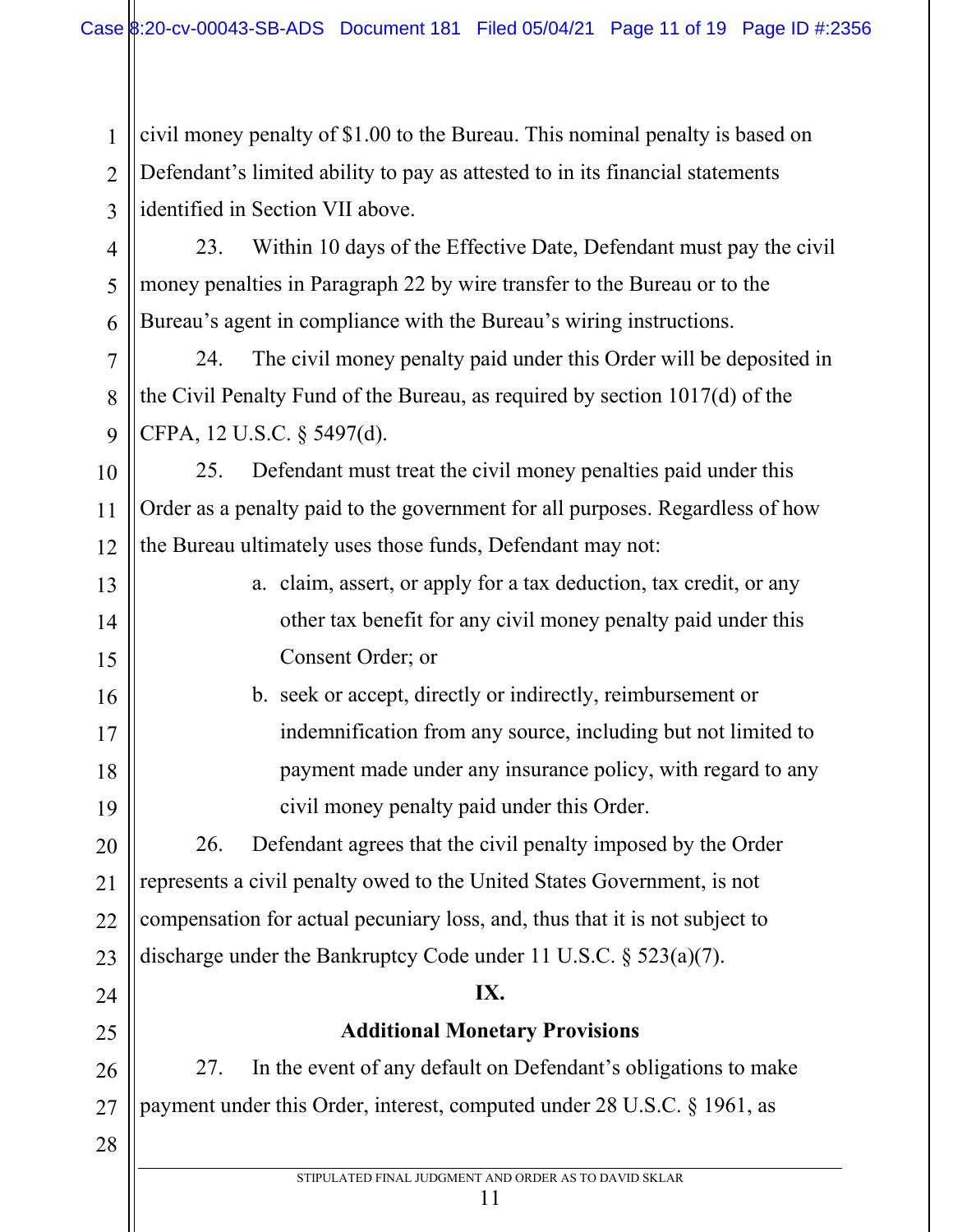civil money penalty of \$1.00 to the Bureau. This nominal penalty is based on Defendant's limited ability to pay as attested to in its financial statements identified in Section VII above.

1

2

3

7

8

9

13

14

15

16

17

18

19

24

25

28

4 5 6 23. Within 10 days of the Effective Date, Defendant must pay the civil money penalties in Paragraph 22 by wire transfer to the Bureau or to the Bureau's agent in compliance with the Bureau's wiring instructions.

24. The civil money penalty paid under this Order will be deposited in the Civil Penalty Fund of the Bureau, as required by section 1017(d) of the CFPA, 12 U.S.C. § 5497(d).

10 11 12 25. Defendant must treat the civil money penalties paid under this Order as a penalty paid to the government for all purposes. Regardless of how the Bureau ultimately uses those funds, Defendant may not:

> a. claim, assert, or apply for a tax deduction, tax credit, or any other tax benefit for any civil money penalty paid under this Consent Order; or

b. seek or accept, directly or indirectly, reimbursement or indemnification from any source, including but not limited to payment made under any insurance policy, with regard to any civil money penalty paid under this Order.

20 21 22 23 26. Defendant agrees that the civil penalty imposed by the Order represents a civil penalty owed to the United States Government, is not compensation for actual pecuniary loss, and, thus that it is not subject to discharge under the Bankruptcy Code under 11 U.S.C. § 523(a)(7).

### **IX.**

# **Additional Monetary Provisions**

26 27 27. In the event of any default on Defendant's obligations to make payment under this Order, interest, computed under 28 U.S.C. § 1961, as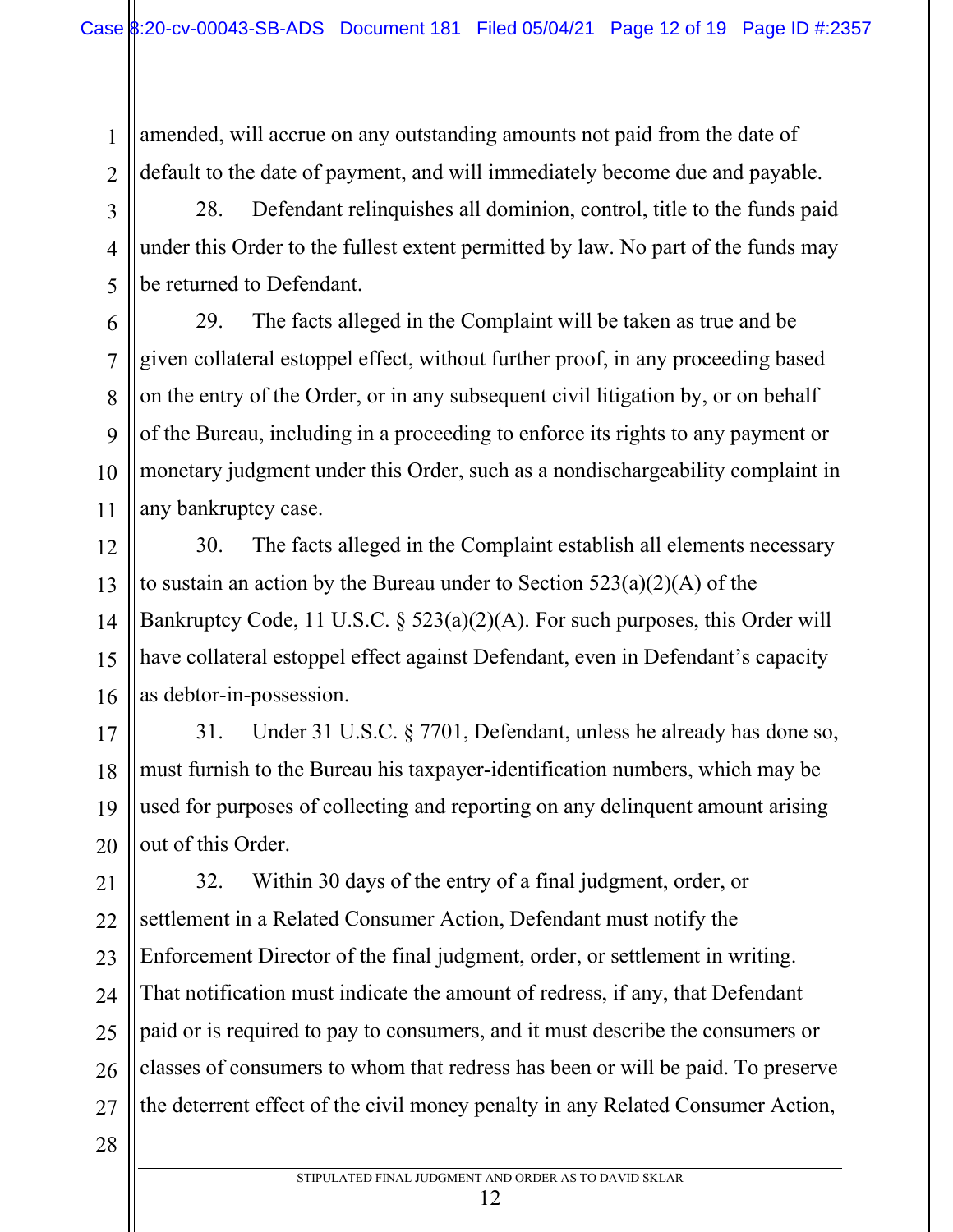amended, will accrue on any outstanding amounts not paid from the date of default to the date of payment, and will immediately become due and payable.

28. Defendant relinquishes all dominion, control, title to the funds paid under this Order to the fullest extent permitted by law. No part of the funds may be returned to Defendant.

29. The facts alleged in the Complaint will be taken as true and be given collateral estoppel effect, without further proof, in any proceeding based on the entry of the Order, or in any subsequent civil litigation by, or on behalf of the Bureau, including in a proceeding to enforce its rights to any payment or monetary judgment under this Order, such as a nondischargeability complaint in any bankruptcy case.

14 30. The facts alleged in the Complaint establish all elements necessary to sustain an action by the Bureau under to Section  $523(a)(2)(A)$  of the Bankruptcy Code, 11 U.S.C. § 523(a)(2)(A). For such purposes, this Order will have collateral estoppel effect against Defendant, even in Defendant's capacity as debtor-in-possession.

17 18 19 20 31. Under 31 U.S.C. § 7701, Defendant, unless he already has done so, must furnish to the Bureau his taxpayer-identification numbers, which may be used for purposes of collecting and reporting on any delinquent amount arising out of this Order.

21 22 23 24 25 26 27 32. Within 30 days of the entry of a final judgment, order, or settlement in a Related Consumer Action, Defendant must notify the Enforcement Director of the final judgment, order, or settlement in writing. That notification must indicate the amount of redress, if any, that Defendant paid or is required to pay to consumers, and it must describe the consumers or classes of consumers to whom that redress has been or will be paid. To preserve the deterrent effect of the civil money penalty in any Related Consumer Action,

28

1

2

3

4

5

6

7

8

9

10

11

12

13

15

16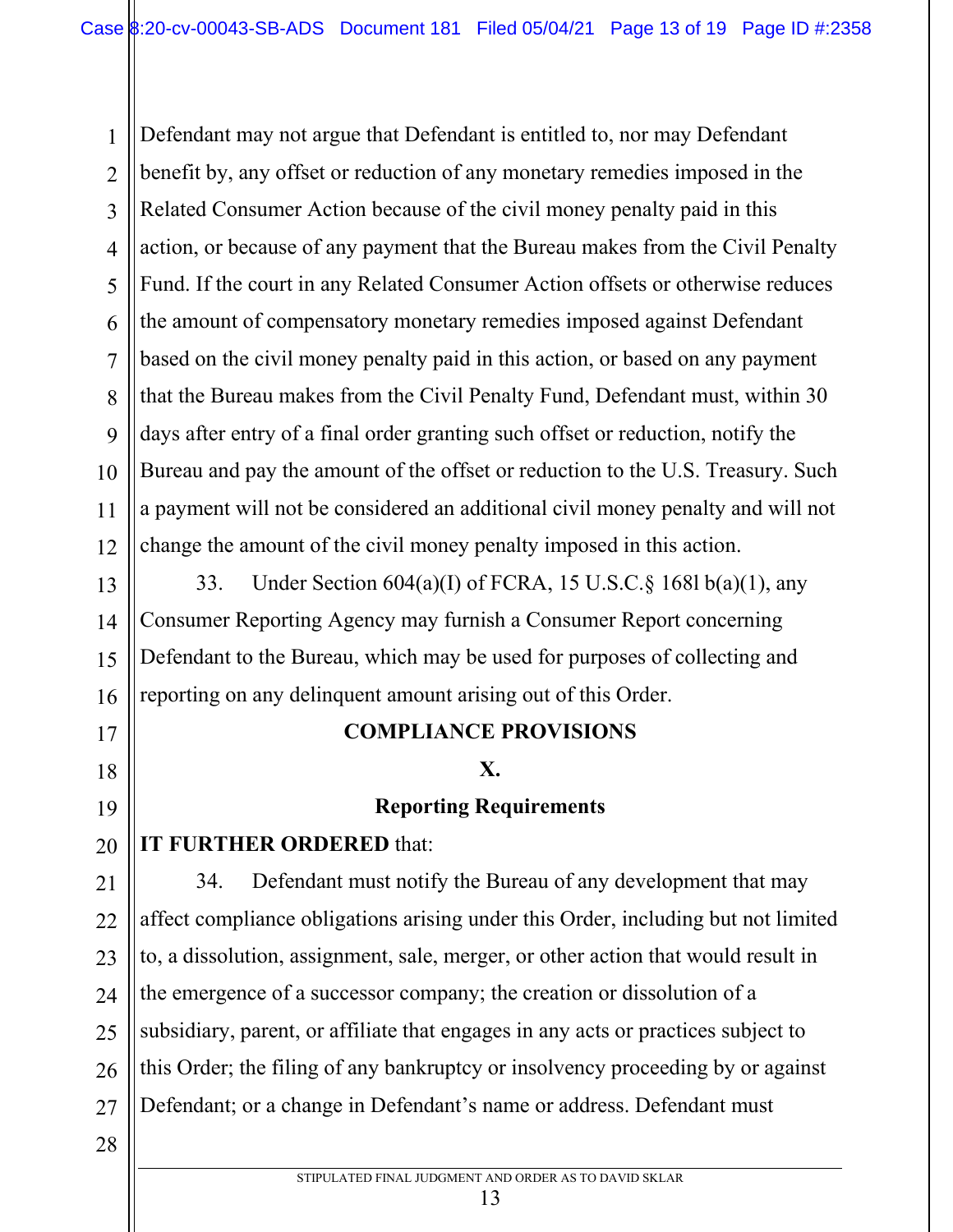1 2 3 4 5 6 7 8 9 10 11 12 Defendant may not argue that Defendant is entitled to, nor may Defendant benefit by, any offset or reduction of any monetary remedies imposed in the Related Consumer Action because of the civil money penalty paid in this action, or because of any payment that the Bureau makes from the Civil Penalty Fund. If the court in any Related Consumer Action offsets or otherwise reduces the amount of compensatory monetary remedies imposed against Defendant based on the civil money penalty paid in this action, or based on any payment that the Bureau makes from the Civil Penalty Fund, Defendant must, within 30 days after entry of a final order granting such offset or reduction, notify the Bureau and pay the amount of the offset or reduction to the U.S. Treasury. Such a payment will not be considered an additional civil money penalty and will not change the amount of the civil money penalty imposed in this action.

33. Under Section 604(a)(I) of FCRA, 15 U.S.C.§ 168l b(a)(1), any Consumer Reporting Agency may furnish a Consumer Report concerning Defendant to the Bureau, which may be used for purposes of collecting and reporting on any delinquent amount arising out of this Order.

# **COMPLIANCE PROVISIONS**

### **X.**

# **Reporting Requirements**

# **IT FURTHER ORDERED** that:

21 22 23 24 25 26 27 34. Defendant must notify the Bureau of any development that may affect compliance obligations arising under this Order, including but not limited to, a dissolution, assignment, sale, merger, or other action that would result in the emergence of a successor company; the creation or dissolution of a subsidiary, parent, or affiliate that engages in any acts or practices subject to this Order; the filing of any bankruptcy or insolvency proceeding by or against Defendant; or a change in Defendant's name or address. Defendant must

28

13

14

15

16

17

18

19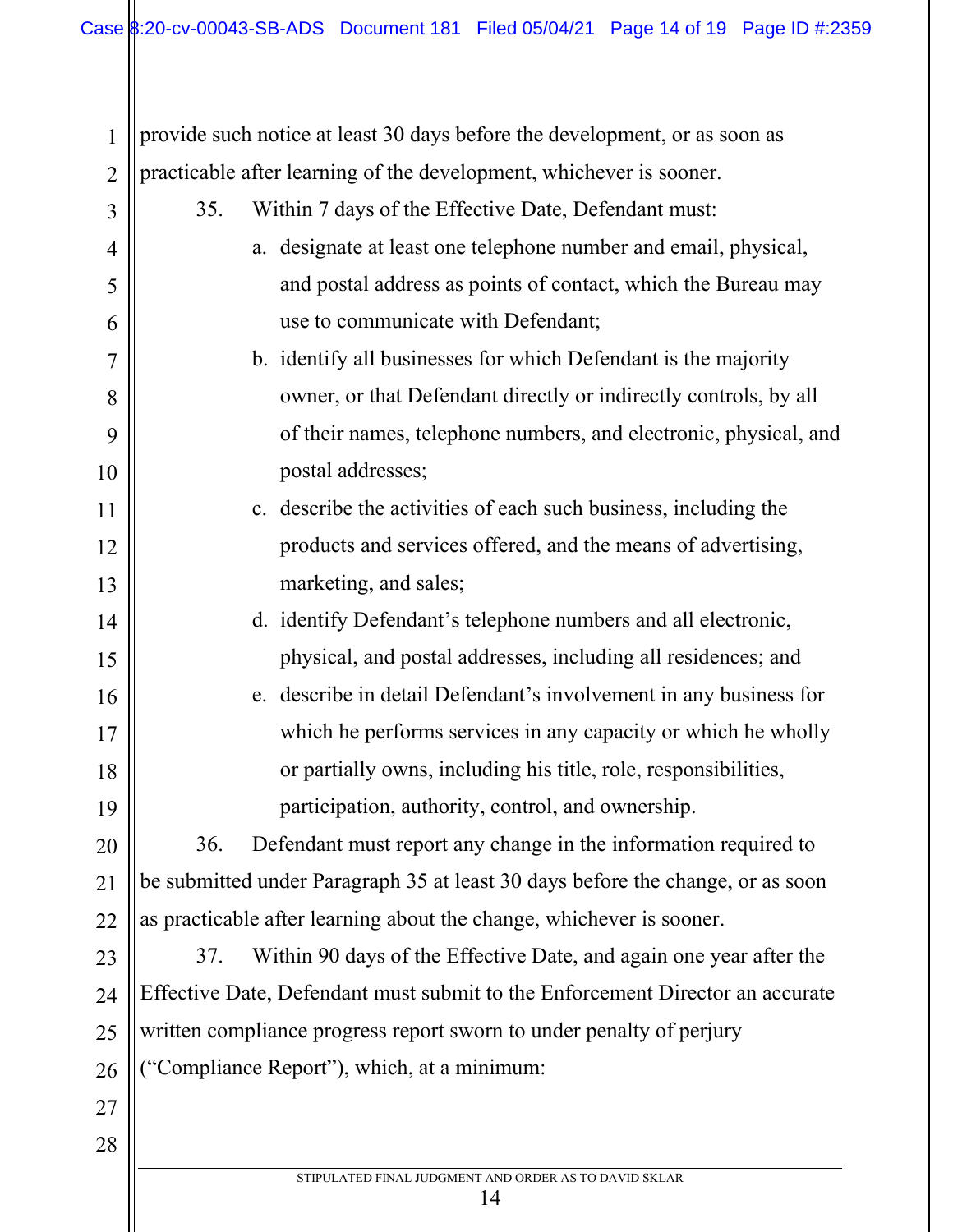| $\mathbf{1}$   | provide such notice at least 30 days before the development, or as soon as     |
|----------------|--------------------------------------------------------------------------------|
| $\overline{2}$ | practicable after learning of the development, whichever is sooner.            |
| 3              | Within 7 days of the Effective Date, Defendant must:<br>35.                    |
| $\overline{4}$ | a. designate at least one telephone number and email, physical,                |
| 5              | and postal address as points of contact, which the Bureau may                  |
| 6              | use to communicate with Defendant;                                             |
| $\overline{7}$ | b. identify all businesses for which Defendant is the majority                 |
| 8              | owner, or that Defendant directly or indirectly controls, by all               |
| 9              | of their names, telephone numbers, and electronic, physical, and               |
| 10             | postal addresses;                                                              |
| 11             | c. describe the activities of each such business, including the                |
| 12             | products and services offered, and the means of advertising,                   |
| 13             | marketing, and sales;                                                          |
| 14             | d. identify Defendant's telephone numbers and all electronic,                  |
| 15             | physical, and postal addresses, including all residences; and                  |
| 16             | e. describe in detail Defendant's involvement in any business for              |
| 17             | which he performs services in any capacity or which he wholly                  |
| 18             | or partially owns, including his title, role, responsibilities,                |
| 19             | participation, authority, control, and ownership.                              |
| 20             | Defendant must report any change in the information required to<br>36.         |
| 21             | be submitted under Paragraph 35 at least 30 days before the change, or as soon |
| 22             | as practicable after learning about the change, whichever is sooner.           |
| 23             | Within 90 days of the Effective Date, and again one year after the<br>37.      |
| 24             | Effective Date, Defendant must submit to the Enforcement Director an accurate  |
| 25             | written compliance progress report sworn to under penalty of perjury           |
| 26             | ("Compliance Report"), which, at a minimum:                                    |
| 27             |                                                                                |
| 28             |                                                                                |
|                | STIPULATED FINAL JUDGMENT AND ORDER AS TO DAVID SKLAR<br>14                    |
|                |                                                                                |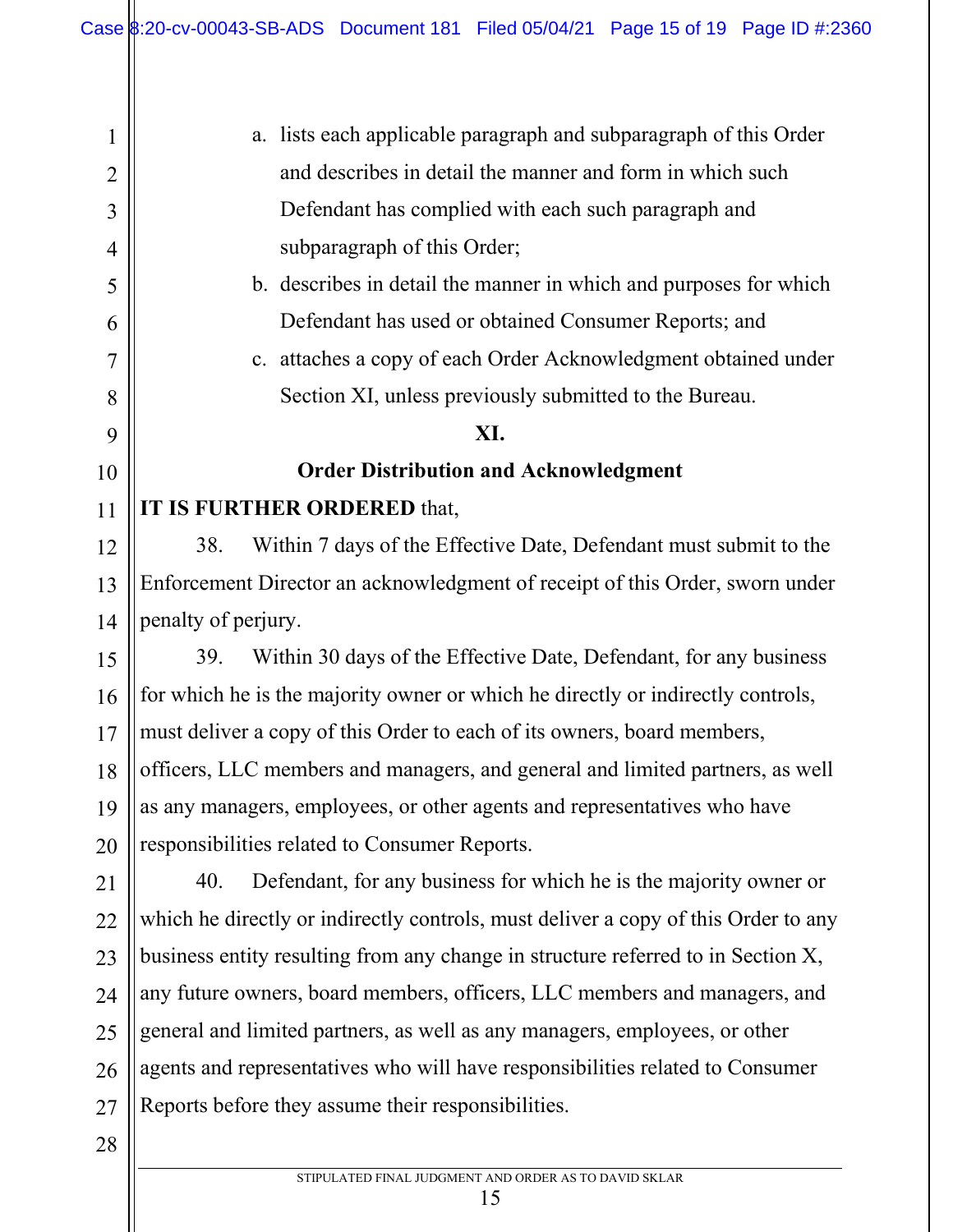1

2

3

4

5

6

7

8

9

10

11

12

13

14

15

16

17

18

19

20

21

22

23

24

28

a. lists each applicable paragraph and subparagraph of this Order and describes in detail the manner and form in which such Defendant has complied with each such paragraph and subparagraph of this Order; b. describes in detail the manner in which and purposes for which Defendant has used or obtained Consumer Reports; and c. attaches a copy of each Order Acknowledgment obtained under Section XI, unless previously submitted to the Bureau. **XI. Order Distribution and Acknowledgment IT IS FURTHER ORDERED** that, 38. Within 7 days of the Effective Date, Defendant must submit to the Enforcement Director an acknowledgment of receipt of this Order, sworn under penalty of perjury. 39. Within 30 days of the Effective Date, Defendant, for any business for which he is the majority owner or which he directly or indirectly controls, must deliver a copy of this Order to each of its owners, board members, officers, LLC members and managers, and general and limited partners, as well as any managers, employees, or other agents and representatives who have responsibilities related to Consumer Reports. 40. Defendant, for any business for which he is the majority owner or which he directly or indirectly controls, must deliver a copy of this Order to any business entity resulting from any change in structure referred to in Section X, any future owners, board members, officers, LLC members and managers, and

25 26 27 general and limited partners, as well as any managers, employees, or other agents and representatives who will have responsibilities related to Consumer Reports before they assume their responsibilities.

STIPULATED FINAL JUDGMENT AND ORDER AS TO DAVID SKLAR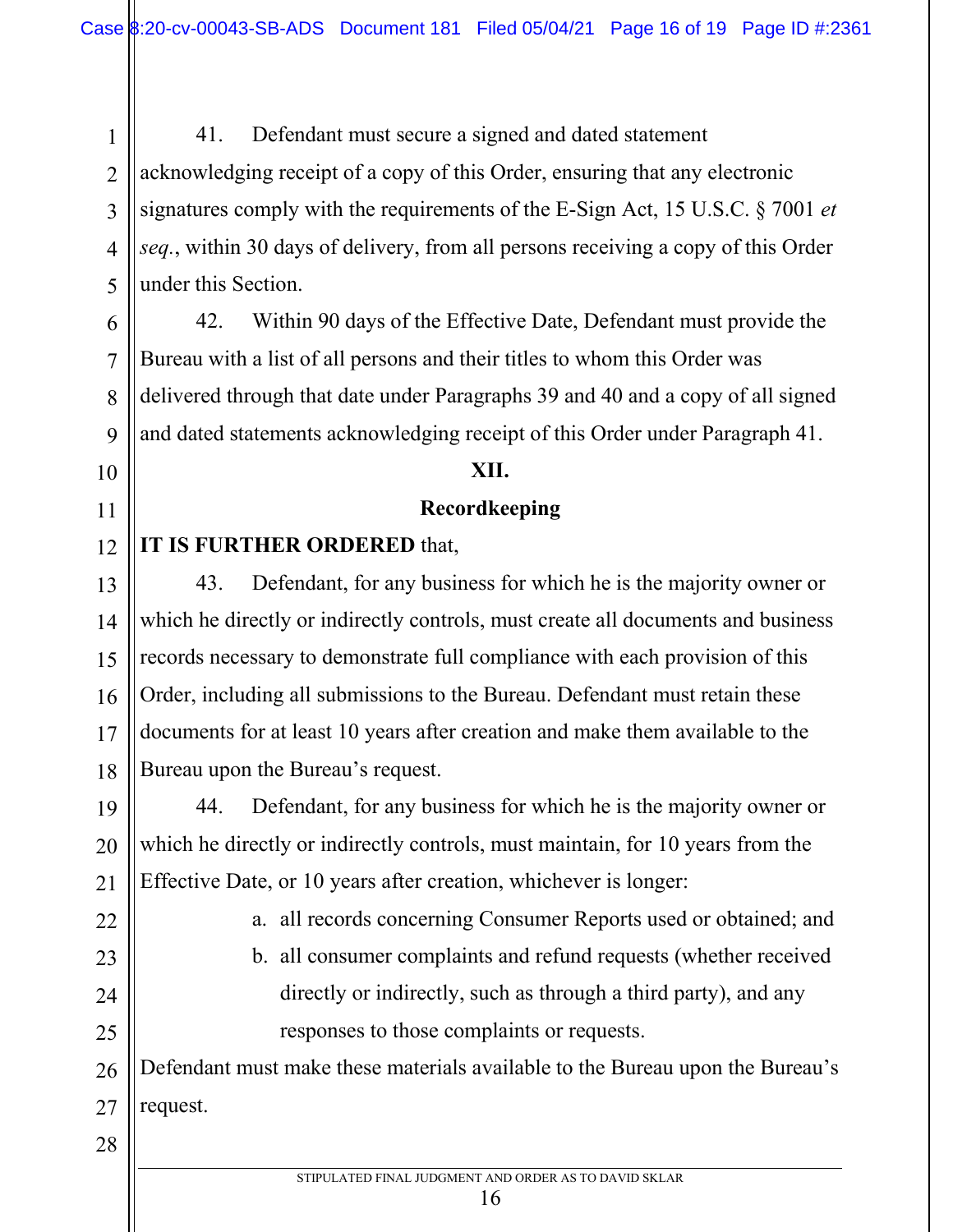41. Defendant must secure a signed and dated statement acknowledging receipt of a copy of this Order, ensuring that any electronic signatures comply with the requirements of the E-Sign Act, 15 U.S.C. § 7001 *et seq.*, within 30 days of delivery, from all persons receiving a copy of this Order under this Section.

42. Within 90 days of the Effective Date, Defendant must provide the Bureau with a list of all persons and their titles to whom this Order was delivered through that date under Paragraphs 39 and 40 and a copy of all signed and dated statements acknowledging receipt of this Order under Paragraph 41.

#### **XII.**

### **Recordkeeping**

#### 12 **IT IS FURTHER ORDERED** that,

18 43. Defendant, for any business for which he is the majority owner or which he directly or indirectly controls, must create all documents and business records necessary to demonstrate full compliance with each provision of this Order, including all submissions to the Bureau. Defendant must retain these documents for at least 10 years after creation and make them available to the Bureau upon the Bureau's request.

19 20 21 44. Defendant, for any business for which he is the majority owner or which he directly or indirectly controls, must maintain, for 10 years from the Effective Date, or 10 years after creation, whichever is longer:

22 23 24

25

1

2

3

4

5

6

7

8

9

10

11

13

14

15

16

17

a. all records concerning Consumer Reports used or obtained; and

b. all consumer complaints and refund requests (whether received directly or indirectly, such as through a third party), and any responses to those complaints or requests.

26 27 Defendant must make these materials available to the Bureau upon the Bureau's request.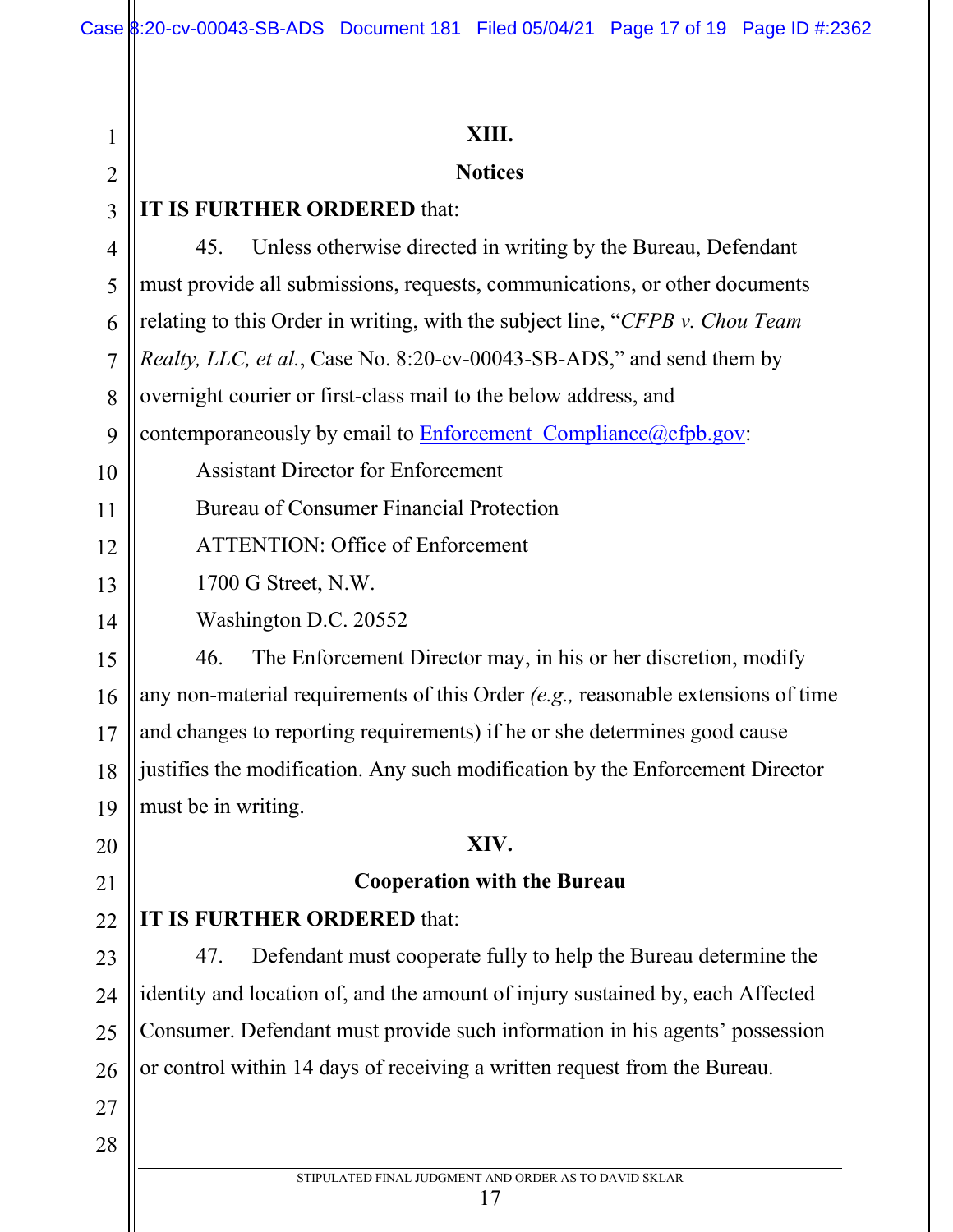| 1              | XIII.                                                                              |
|----------------|------------------------------------------------------------------------------------|
| $\overline{2}$ | <b>Notices</b>                                                                     |
| 3              | IT IS FURTHER ORDERED that:                                                        |
| $\overline{4}$ | Unless otherwise directed in writing by the Bureau, Defendant<br>45.               |
| 5              | must provide all submissions, requests, communications, or other documents         |
| 6              | relating to this Order in writing, with the subject line, "CFPB v. Chou Team       |
| $\overline{7}$ | Realty, LLC, et al., Case No. 8:20-cv-00043-SB-ADS," and send them by              |
| 8              | overnight courier or first-class mail to the below address, and                    |
| 9              | contemporaneously by email to <b>Enforcement</b> Compliance (a)cfpb.gov:           |
| 10             | <b>Assistant Director for Enforcement</b>                                          |
| 11             | <b>Bureau of Consumer Financial Protection</b>                                     |
| 12             | <b>ATTENTION: Office of Enforcement</b>                                            |
| 13             | 1700 G Street, N.W.                                                                |
| 14             | Washington D.C. 20552                                                              |
| 15             | The Enforcement Director may, in his or her discretion, modify<br>46.              |
| 16             | any non-material requirements of this Order $(e.g.,$ reasonable extensions of time |
| 17             | and changes to reporting requirements) if he or she determines good cause          |
| 18             | justifies the modification. Any such modification by the Enforcement Director      |
| 19             | must be in writing.                                                                |
| 20             | XIV.                                                                               |
| 21             | <b>Cooperation with the Bureau</b>                                                 |
| 22             | IT IS FURTHER ORDERED that:                                                        |
| 23             | Defendant must cooperate fully to help the Bureau determine the<br>47.             |
| 24             | identity and location of, and the amount of injury sustained by, each Affected     |
| 25             | Consumer. Defendant must provide such information in his agents' possession        |
| 26             | or control within 14 days of receiving a written request from the Bureau.          |
| 27             |                                                                                    |
| 28             |                                                                                    |
|                | STIPULATED FINAL JUDGMENT AND ORDER AS TO DAVID SKLAR                              |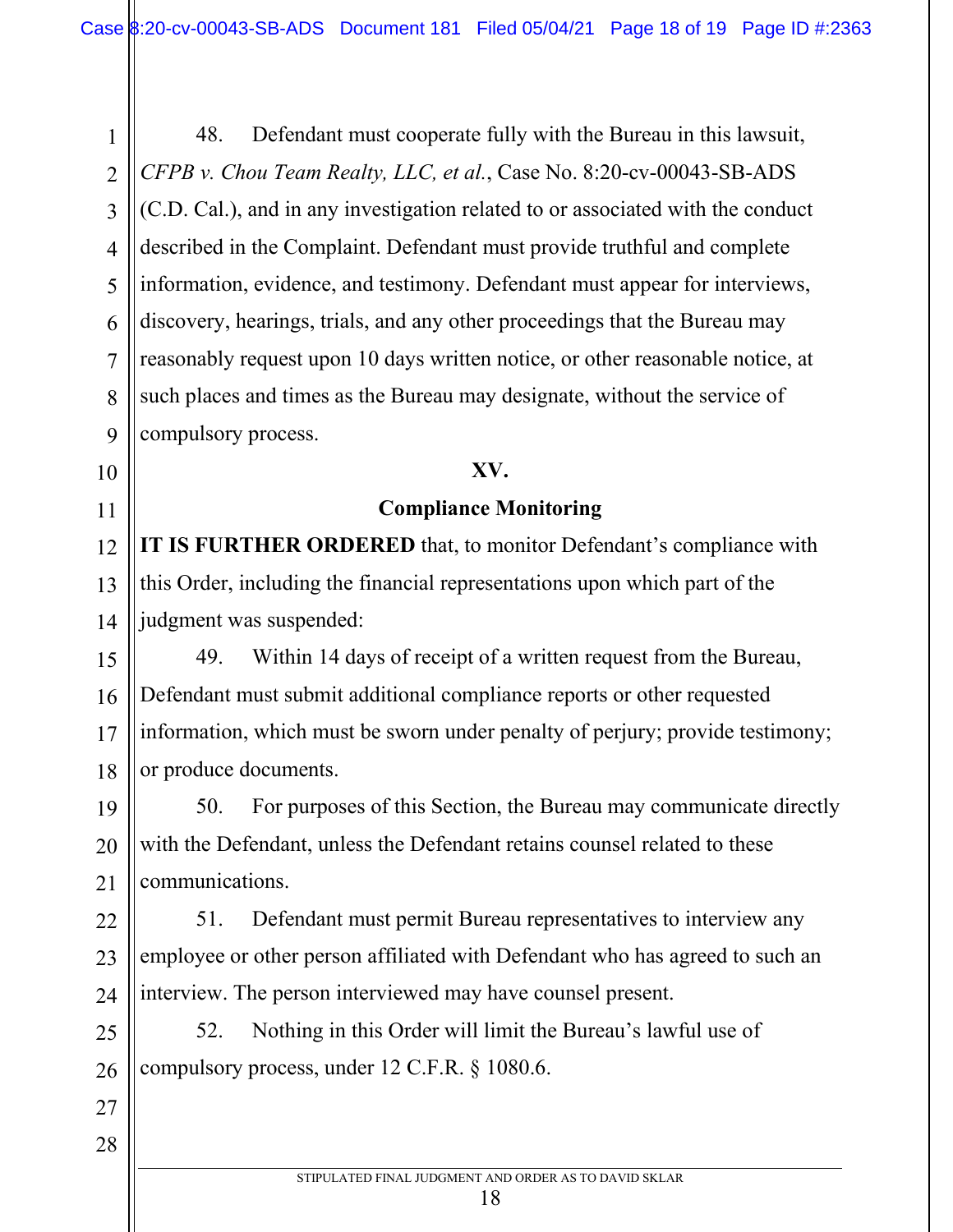2 3 4 5 6 7 8 9 48. Defendant must cooperate fully with the Bureau in this lawsuit, *CFPB v. Chou Team Realty, LLC, et al.*, Case No. 8:20-cv-00043-SB-ADS (C.D. Cal.), and in any investigation related to or associated with the conduct described in the Complaint. Defendant must provide truthful and complete information, evidence, and testimony. Defendant must appear for interviews, discovery, hearings, trials, and any other proceedings that the Bureau may reasonably request upon 10 days written notice, or other reasonable notice, at such places and times as the Bureau may designate, without the service of compulsory process.

1

10

11

12

13

14

19

20

21

27

28

### **XV.**

# **Compliance Monitoring**

**IT IS FURTHER ORDERED** that, to monitor Defendant's compliance with this Order, including the financial representations upon which part of the judgment was suspended:

15 16 17 18 49. Within 14 days of receipt of a written request from the Bureau, Defendant must submit additional compliance reports or other requested information, which must be sworn under penalty of perjury; provide testimony; or produce documents.

50. For purposes of this Section, the Bureau may communicate directly with the Defendant, unless the Defendant retains counsel related to these communications.

22 23 24 51. Defendant must permit Bureau representatives to interview any employee or other person affiliated with Defendant who has agreed to such an interview. The person interviewed may have counsel present.

25 26 52. Nothing in this Order will limit the Bureau's lawful use of compulsory process, under 12 C.F.R. § 1080.6.

STIPULATED FINAL JUDGMENT AND ORDER AS TO DAVID SKLAR